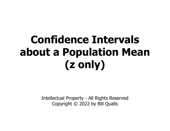# Confidence Intervals about a Population Mean (z only) Intellectual Property - All Rights Reserved<br>
Copyright © 2022 by Bill Qualls

Copyright © 2022 by Bill Qualls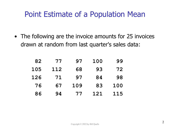#### Point Estimate of a Population Mean

• The following are the invoice amounts for 25 invoices<br>• The following are the invoice amounts for 25 invoices<br>drawn at random from last quarter's sales data: drawn at random from last quarter's sales data:

| 82  |     | 77 97 100 |     | 99  |
|-----|-----|-----------|-----|-----|
| 105 | 112 | 68        | 93  | 72  |
| 126 | 71  | 97        | 84  | 98  |
| 76  | 67  | 109       | 83  | 100 |
| 86  | 94  | 77        | 121 | 115 |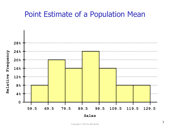#### Point Estimate of a Population Mean

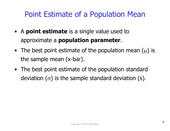#### Point Estimate of a Population Mean

- **Point Estimate of a Population Mean**<br>• A **point estimate** is a single value used to approximate a **population parameter**.
- **Point Estimate of a Population Mean**<br>
 A **point estimate** is a single value used to<br>
approximate a **population parameter**.<br>
 The best point estimate of the population mean  $(\mu)$  is<br>
the sample mean  $(x$ -bar). the sample mean (x-bar). • A point estimate or a Population Mean<br>• A point estimate is a single value used to<br>approximate a population parameter.<br>• The best point estimate of the population mean  $(\mu)$  is<br>the sample mean  $(x-bar)$ .<br>• The best point e
- deviation  $(\sigma)$  is the sample standard deviation (s).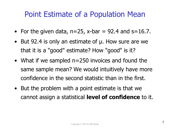# Point Estimate of a Population Mean **Point Estimate of a Population Mean**<br>• For the given data,  $n=25$ ,  $x$ -bar = 92.4 and s=16.7.<br>• But 92.4 is only an estimate of  $\mu$ . How sure are we

- 
- **Point Estimate of a Population Mean**<br>• For the given data,  $n=25$ ,  $x$ -bar = 92.4 and s=16.7.<br>• But 92.4 is only an estimate of  $\mu$ . How sure are we that it is a "good" estimate? How "good" is it? that it is a "good" estimate? How "good" is it?
- **•** For the given data,  $n=25$ ,  $x$ -bar = 92.4 and s=16.7.<br>
 But 92.4 is only an estimate of  $\mu$ . How sure are we that it is a "good" estimate? How "good" is it?<br>
 What if we sampled  $n=250$  invoices and found the same same sample mean? We would intuitively have more confidence in the second statistic than in the first. • But 92.4 is only an estimate of  $\mu$ . How sure are we that it is a "good" estimate? How "good" is it?<br>• What if we sampled n=250 invoices and found the same sample mean? We would intuitively have more confidence in the
- cannot assign a statistical level of confidence to it.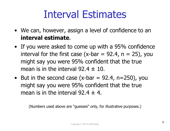## Interval Estimates

- Interval Estimates<br>• We can, however, assign a level of confidence to an<br>interval estimate.
- **interval Estimates**<br>
 We can, however, assign a level of confidence to an<br> **interval estimate.**<br>
 If you were asked to come up with a 95% confidence<br>
interval for the first case (x-bar = 92.4, n = 25), you interval for the first case (x-bar =  $92.4$ , n =  $25$ ), you might say you were 95% confident that the true **INTETVAI ESTIMATES**<br>We can, however, assign a level of confidence to an<br>**interval estimate**.<br>If you were asked to come up with a 95% confidence<br>interval for the first case (x-bar = 92.4, n = 25), you<br>might say you were 9 • We can, however, assign a level of confidence to an<br> **interval estimate.**<br>
• If you were asked to come up with a 95% confidence<br>
interval for the first case (x-bar = 92.4, n = 25), you<br>
might say you were 95% confident **If** you were asked to come up with a 95% confidence<br>interval for the first case (x-bar = 92.4, n = 25), you<br>might say you were 95% confident that the true<br>mean is in the interval 92.4  $\pm$  10.<br>But in the second case (x-b
- might say you were 95% confident that the true

(Numbers used above are "guesses" only, for illustrative purposes.)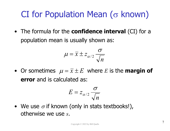#### CI for Population Mean  $(\sigma$  known)

**CI for Population Mean (** $\sigma$  **known)**<br>• The formula for the **confidence interval** (CI) for a population mean is usually shown as: population mean is usually shown as: • The formula for the **confidence interval** (CI) for a<br>population mean is usually shown as:<br> $\mu = \overline{x} \pm z_{\alpha/2} \frac{\sigma}{\sqrt{n}}$ <br>• Or sometimes  $\mu = \overline{x} \pm E$  where E is the **margin of**<br>**error** and is calculated as:

$$
\mu = \overline{x} \pm z_{\alpha/2} \frac{\sigma}{\sqrt{n}}
$$

error and is calculated as: • Or sometimes  $\mu = \overline{x} \pm E$  where *E* is the **margin of**<br> **error** and is calculated as:<br>  $E = z_{\alpha/2} \frac{\sigma}{\sqrt{n}}$ <br>
• We use  $\sigma$  if known (only in stats textbooks!),<br>
otherwise we use *s*. • Or sometimes  $\mu = \overline{x} \pm E$  where E is the **margin of** 

$$
E = z_{\alpha/2} \frac{\sigma}{\sqrt{n}}
$$

otherwise we use s.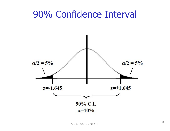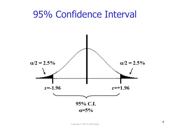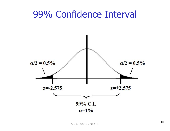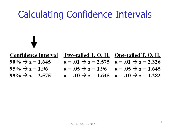#### Calculating Confidence Intervals **Confidence Interval** One-tailed T. O. H. Two-tailed T. O. H.  $90\% \rightarrow z = 1.645$  $a = .01 \rightarrow z = 2.575$  $\alpha = .01 \rightarrow z = 2.326$  $95\% \rightarrow z = 1.96$  $\alpha = .05 \rightarrow z = 1.96$  $\alpha = .05 \rightarrow z = 1.645$  $\alpha = .10 \rightarrow z = 1.645$   $\alpha = .10 \rightarrow z = 1.282$  $99\% \rightarrow z = 2.575$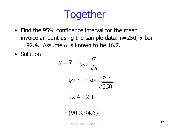## Together

- **Fogether**<br>• Find the 95% confidence interval for the mean<br>invoice amount using the sample data: n=250, x-bar invoice amount using the sample data: n=250, x-bar  $= 92.4$ . Assume  $\sigma$  is known to be 16.7. • Find the 95% confidence int<br>invoice amount using the sa<br>= 92.4. Assume  $\sigma$  is known<br>• Solution:<br> $\mu = \overline{x} \pm z_{\alpha/2}$
- 

$$
\mu = \bar{x} \pm z_{\alpha/2} \frac{\sigma}{\sqrt{n}}
$$
  
= 92.4 \pm 1.96 \frac{16.7}{\sqrt{250}}  
= 92.4 \pm 2.1  
= (90.3, 94.5)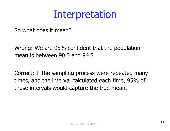### Interpretation

So what does it mean?

Wrong: We are 95% confident that the population mean is between 90.3 and 94.5.

Correct: If the sampling process were repeated many times, and the interval calculated each time, 95% of those intervals would capture the true mean.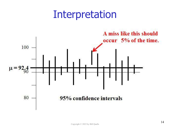#### Interpretation

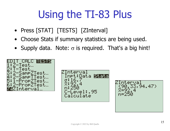# Using the TI-83 Plus Using the TI-83 Plus<br>• Press [STAT] [TESTS] [ZInterval]<br>• Choose Stats if summary statistics are being **Using the TI-83 Plus**<br>• Press [STAT] [TESTS] [ZInterval]<br>• Choose Stats if summary statistics are being used.<br>• Supply data. Note:  $\sigma$  is required. That's a big hint! **Using the TI-83 Plus**<br>• Press [STAT] [TESTS] [ZInterval]<br>• Choose Stats if summary statistics are being used.<br>• Supply data. Note:  $\sigma$  is required. That's a big hint!

- 
- 
- 



Data Stats vel:.95

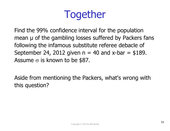## Together

Find the 99% confidence interval for the population mean  $\mu$  of the gambling losses suffered by Packers fans following the infamous substitute referee debacle of September 24, 2012 given  $n = 40$  and x-bar  $=$  \$189. Assume  $\sigma$  is known to be \$87.

Aside from mentioning the Packers, what's wrong with this question?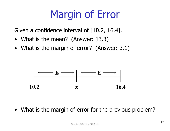# Margin of Error **Margin of Error**<br>Given a confidence interval of [10.2, 16.4].<br>• What is the mean? (Answer: 13.3)<br>• What is the margin of error? (Answer: 3.1) **Margin of Error**<br>
• What is the mean? (Answer: 13.3)<br>
• What is the margin of error? (Answer: 3.1)

Given a confidence interval of  $[10.2, 16.4]$ .

- 
-